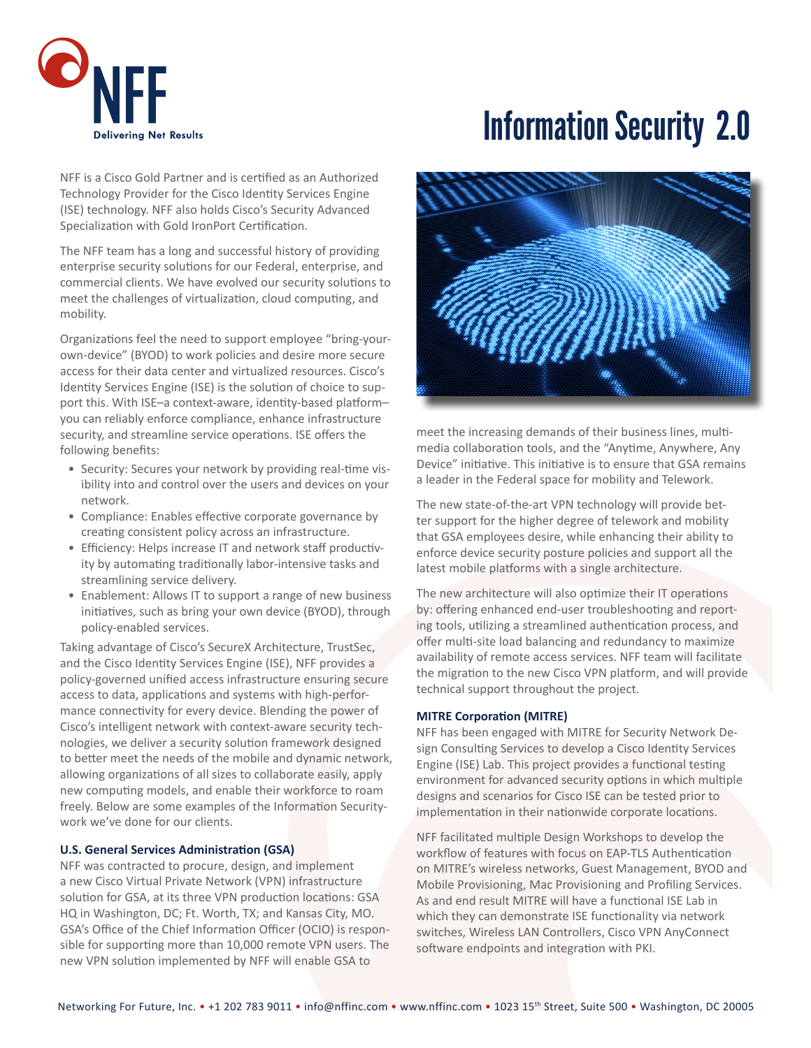

# Information Security 2.0

NFF is a Cisco Gold Partner and is certified as an Authorized Technology Provider for the Cisco Identity Services Engine (ISE) technology. NFF also holds Cisco's Security Advanced Specialization with Gold IronPort Certification.

The NFF team has a long and successful history of providing enterprise security solutions for our Federal, enterprise, and commercial clients. We have evolved our security solutions to meet the challenges of virtualization, cloud computing, and mobility.

Organizations feel the need to support employee "bring-yourown-device" (BYOD) to work policies and desire more secure access for their data center and virtualized resources. Cisco's Identity Services Engine (ISE) is the solution of choice to support this. With ISE–a context-aware, identity-based platform– you can reliably enforce compliance, enhance infrastructure security, and streamline service operations. ISE offers the following benefits:

- Security: Secures your network by providing real-time visibility into and control over the users and devices on your network.
- Compliance: Enables effective corporate governance by creating consistent policy across an infrastructure.
- Efficiency: Helps increase IT and network staff productivity by automating traditionally labor-intensive tasks and streamlining service delivery.
- Enablement: Allows IT to support a range of new business initiatives, such as bring your own device (BYOD), through policy-enabled services.

Taking advantage of Cisco's SecureX Architecture, TrustSec, and the Cisco Identity Services Engine (ISE), NFF provides a policy-governed unified access infrastructure ensuring secure access to data, applications and systems with high-performance connectivity for every device. Blending the power of Cisco's intelligent network with context-aware security technologies, we deliver a security solution framework designed to better meet the needs of the mobile and dynamic network, allowing organizations of all sizes to collaborate easily, apply new computing models, and enable their workforce to roam freely. Below are some examples of the Information Securitywork we've done for our clients.

#### **U.S. General Services Administration (GSA)**

NFF was contracted to procure, design, and implement a new Cisco Virtual Private Network (VPN) infrastructure solution for GSA, at its three VPN production locations: GSA HQ in Washington, DC; Ft. Worth, TX; and Kansas City, MO. GSA's Office of the Chief Information Officer (OCIO) is responsible for supporting more than 10,000 remote VPN users. The new VPN solution implemented by NFF will enable GSA to



meet the increasing demands of their business lines, multimedia collaboration tools, and the "Anytime, Anywhere, Any Device" initiative. This initiative is to ensure that GSA remains a leader in the Federal space for mobility and Telework.

The new state-of-the-art VPN technology will provide better support for the higher degree of telework and mobility that GSA employees desire, while enhancing their ability to enforce device security posture policies and support all the latest mobile platforms with a single architecture.

The new architecture will also optimize their IT operations by: offering enhanced end-user troubleshooting and reporting tools, utilizing a streamlined authentication process, and offer multi-site load balancing and redundancy to maximize availability of remote access services. NFF team will facilitate the migration to the new Cisco VPN platform, and will provide technical support throughout the project.

#### **MITRE Corporation (MITRE)**

NFF has been engaged with MITRE for Security Network Design Consulting Services to develop a Cisco Identity Services Engine (ISE) Lab. This project provides a functional testing environment for advanced security options in which multiple designs and scenarios for Cisco ISE can be tested prior to implementation in their nationwide corporate locations.

NFF facilitated multiple Design Workshops to develop the workflow of features with focus on EAP-TLS Authentication on MITRE's wireless networks, Guest Management, BYOD and Mobile Provisioning, Mac Provisioning and Profiling Services. As and end result MITRE will have a functional ISE Lab in which they can demonstrate ISE functionality via network switches, Wireless LAN Controllers, Cisco VPN AnyConnect software endpoints and integration with PKI.